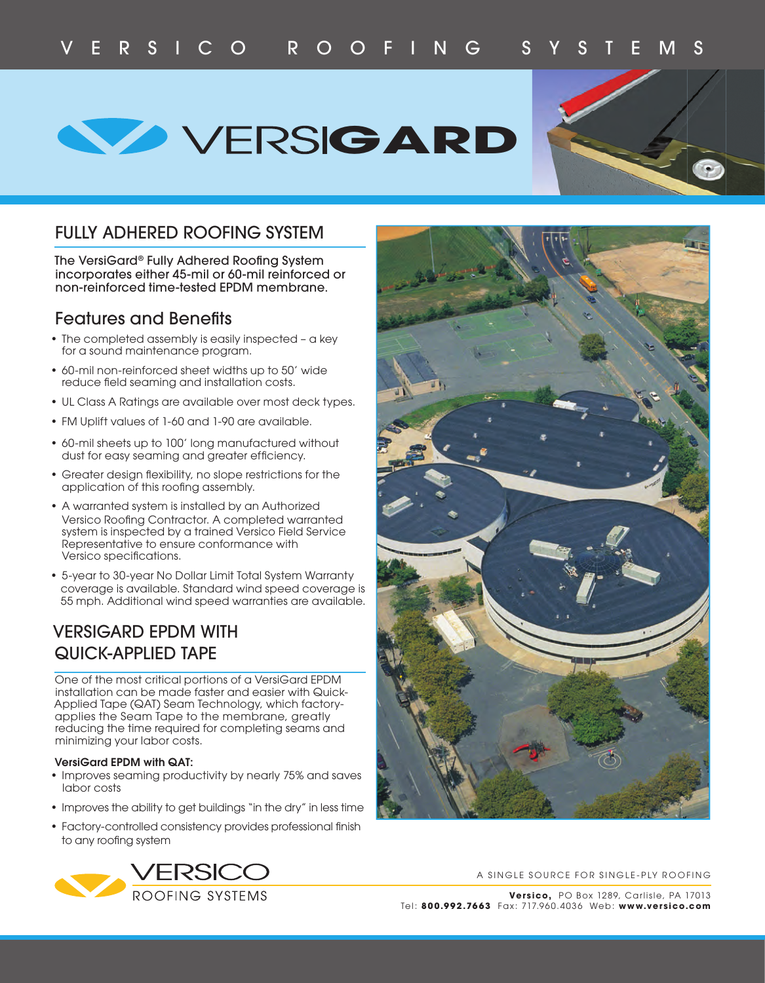**WERSIGARD** 



## FULLY ADHERED ROOFING SYSTEM

The VersiGard® Fully Adhered Roofing System incorporates either 45-mil or 60-mil reinforced or non-reinforced time-tested EPDM membrane.

### Features and Benefits

- The completed assembly is easily inspected a key for a sound maintenance program.
- 60-mil non-reinforced sheet widths up to 50' wide reduce field seaming and installation costs.
- UL Class A Ratings are available over most deck types.
- FM Uplift values of 1-60 and 1-90 are available.
- 60-mil sheets up to 100' long manufactured without dust for easy seaming and greater efficiency.
- Greater design flexibility, no slope restrictions for the application of this roofing assembly.
- A warranted system is installed by an Authorized Versico Roofing Contractor. A completed warranted system is inspected by a trained Versico Field Service Representative to ensure conformance with Versico specifications.
- 5-year to 30-year No Dollar Limit Total System Warranty coverage is available. Standard wind speed coverage is 55 mph. Additional wind speed warranties are available.

## VERSIGARD EPDM WITH QUICK-APPLIED TAPE

One of the most critical portions of a VersiGard EPDM installation can be made faster and easier with Quick-Applied Tape (QAT) Seam Technology, which factoryapplies the Seam Tape to the membrane, greatly reducing the time required for completing seams and minimizing your labor costs.

#### **VersiGard EPDM with QAT:**

- Improves seaming productivity by nearly 75% and saves labor costs
- Improves the ability to get buildings "in the dry" in less time
- Factory-controlled consistency provides professional finish to any roofing system





A SINGLE SOURCE FOR SINGLE-PLY ROOFING

**Versico,** PO Box 1289, Carlisle, PA 17013 Tel: **800.992.7663** Fax: 717.960.4 036 Web: **www.versico.com**